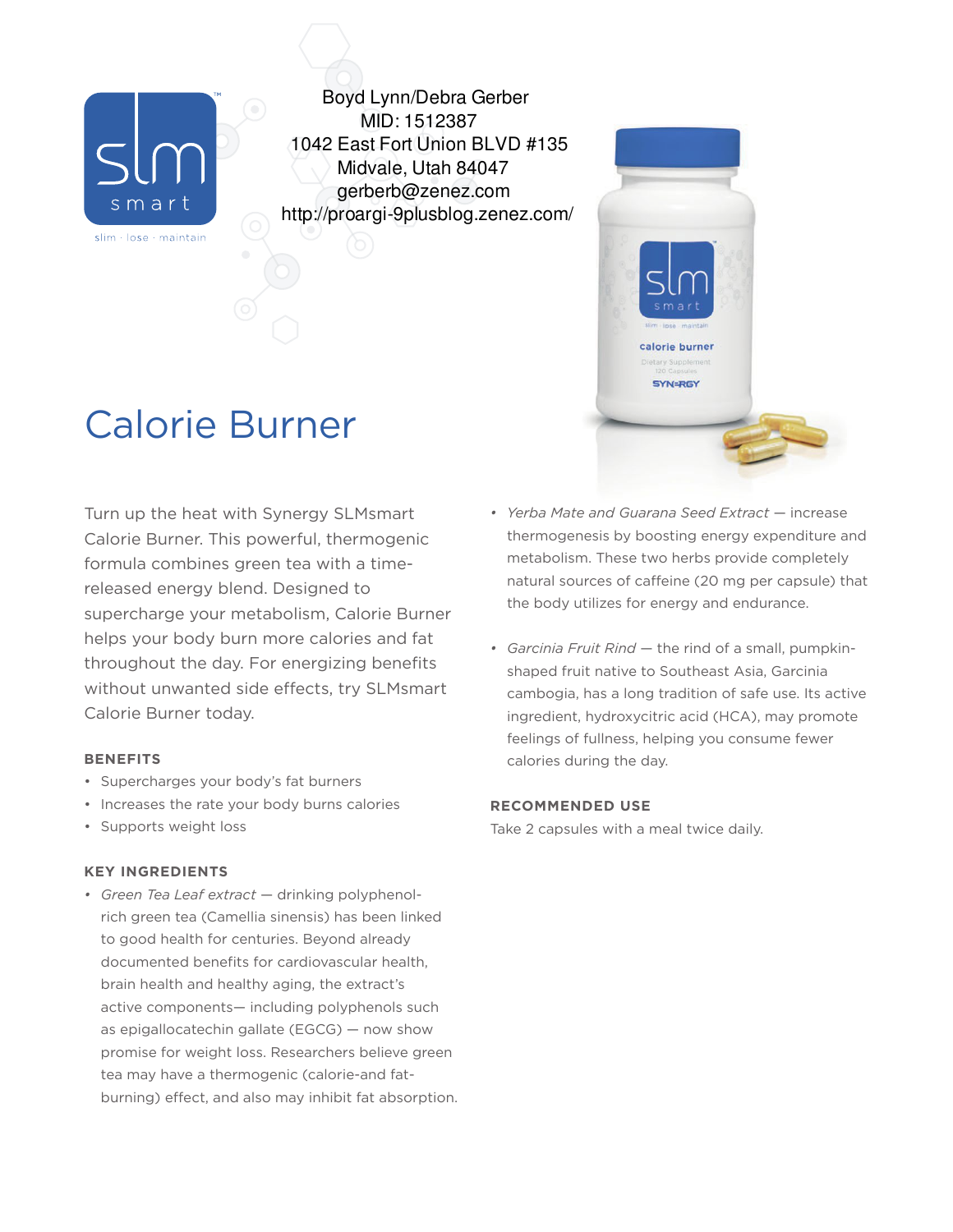

Boyd Lynn/Debra Gerber MID: 1512387 1042 East Fort Union BLVD #135 Midvale, Utah 84047 gerberb@zenez.com http://proargi-9plusblog.zenez.com/

# Calorie Burner

Turn up the heat with Synergy SLMsmart Calorie Burner. This powerful, thermogenic formula combines green tea with a timereleased energy blend. Designed to supercharge your metabolism, Calorie Burner helps your body burn more calories and fat throughout the day. For energizing benefits without unwanted side effects, try SLMsmart Calorie Burner today.

## **BENEFITS**

- Supercharges your body's fat burners
- Increases the rate your body burns calories
- Supports weight loss

## **KEY INGREDIENTS**

*• Green Tea Leaf extract* — drinking polyphenolrich green tea (Camellia sinensis) has been linked to good health for centuries. Beyond already documented benefits for cardiovascular health, brain health and healthy aging, the extract's active components— including polyphenols such as epigallocatechin gallate (EGCG) — now show promise for weight loss. Researchers believe green tea may have a thermogenic (calorie-and fatburning) effect, and also may inhibit fat absorption. *• Yerba Mate and Guarana Seed Extract* — increase thermogenesis by boosting energy expenditure and metabolism. These two herbs provide completely natural sources of caffeine (20 mg per capsule) that the body utilizes for energy and endurance.

calorie burner

**SYN=RGY** 

*• Garcinia Fruit Rind* — the rind of a small, pumpkinshaped fruit native to Southeast Asia, Garcinia cambogia, has a long tradition of safe use. Its active ingredient, hydroxycitric acid (HCA), may promote feelings of fullness, helping you consume fewer calories during the day.

## **RECOMMENDED USE**

Take 2 capsules with a meal twice daily.